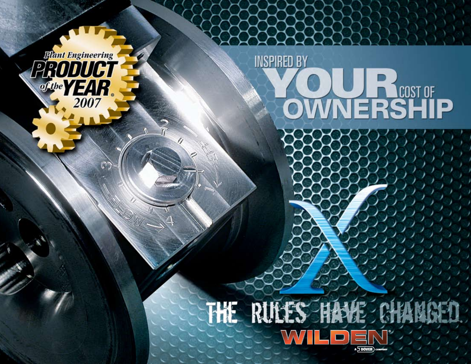Flant Engineering<br>PRODUCT<br>File YEAR 2007

**INSPIRED BY** 

**OWNERSHIP** 

## THE RULES HAVE CHAN  $\Box$ A DOVER) co